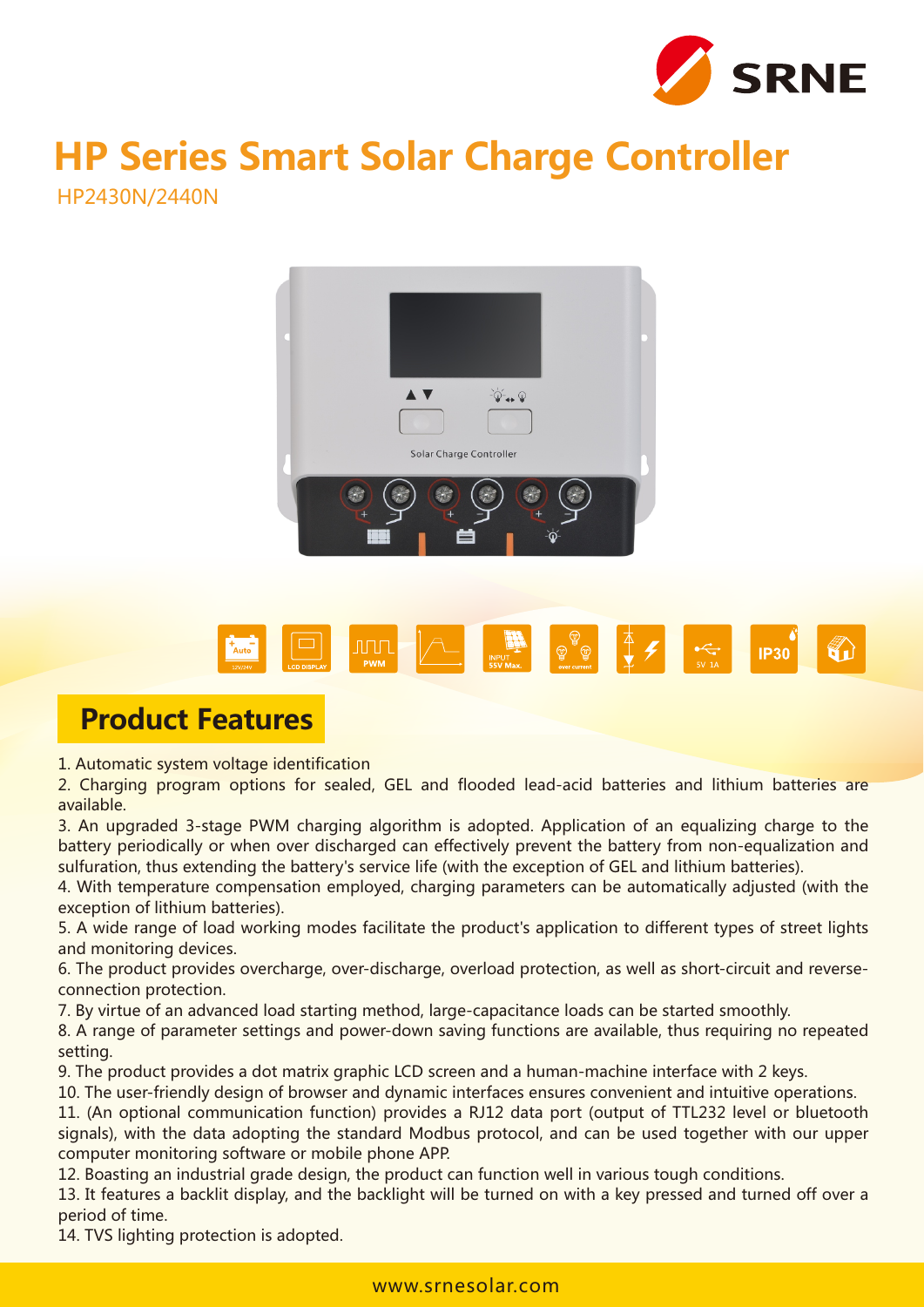

# **HP Series Smart Solar Charge Controller**

HP2430N/2440N





### **Product Features**

1. Automatic system voltage identification

2. Charging program options for sealed, GEL and flooded lead-acid batteries and lithium batteries are available.

3. An upgraded 3-stage PWM charging algorithm is adopted. Application of an equalizing charge to the battery periodically or when over discharged can effectively prevent the battery from non-equalization and sulfuration, thus extending the battery's service life (with the exception of GEL and lithium batteries).

4. With temperature compensation employed, charging parameters can be automatically adjusted (with the exception of lithium batteries).

5. A wide range of load working modes facilitate the product's application to different types of street lights and monitoring devices.

6. The product provides overcharge, over-discharge, overload protection, as well as short-circuit and reverseconnection protection.

7. By virtue of an advanced load starting method, large-capacitance loads can be started smoothly.

8. A range of parameter settings and power-down saving functions are available, thus requiring no repeated setting.

9. The product provides a dot matrix graphic LCD screen and a human-machine interface with 2 keys.

10. The user-friendly design of browser and dynamic interfaces ensures convenient and intuitive operations.

11. (An optional communication function) provides a RJ12 data port (output of TTL232 level or bluetooth signals), with the data adopting the standard Modbus protocol, and can be used together with our upper computer monitoring software or mobile phone APP.

12. Boasting an industrial grade design, the product can function well in various tough conditions.

13. It features a backlit display, and the backlight will be turned on with a key pressed and turned off over a period of time.

14. TVS lighting protection is adopted.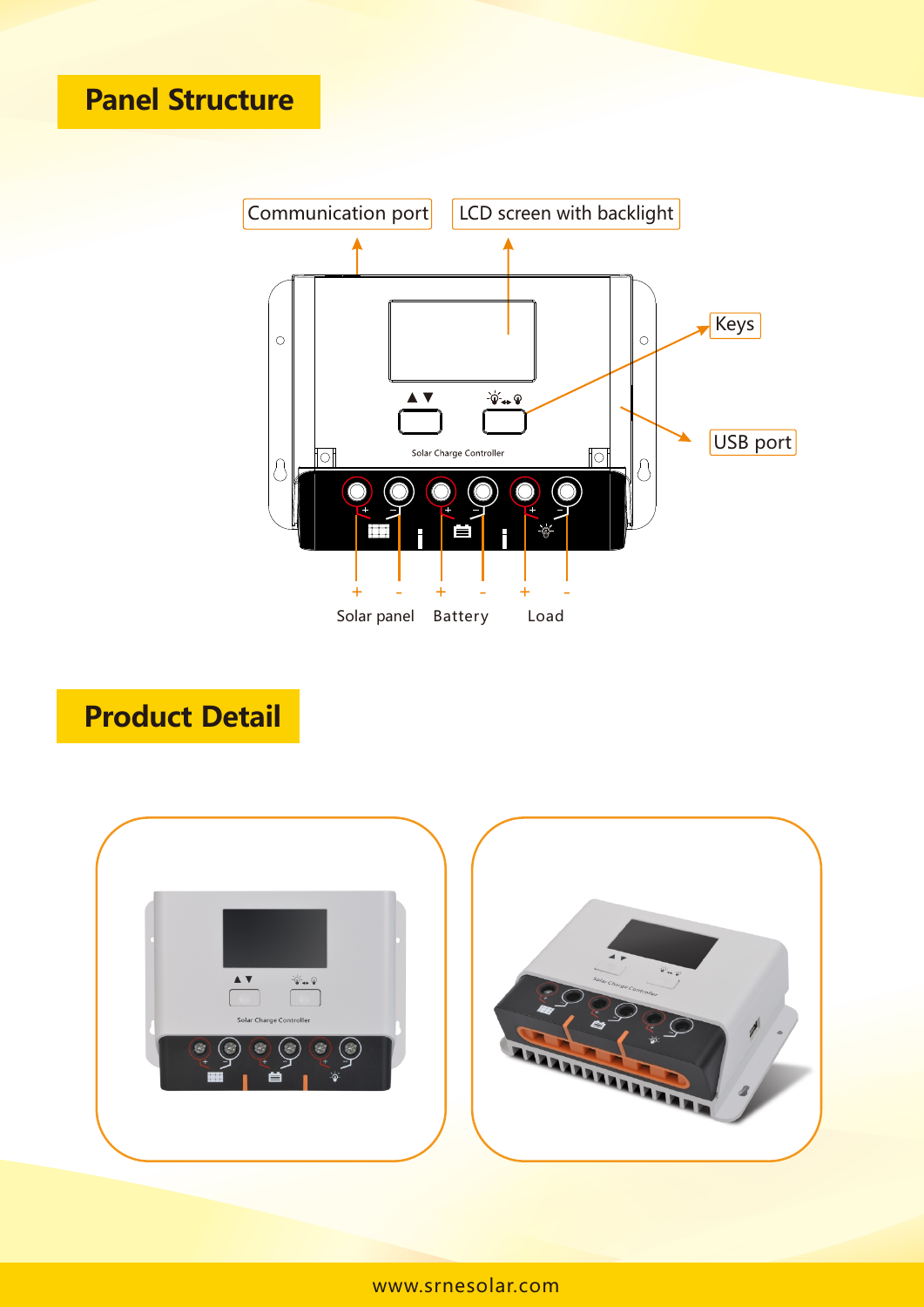

# **Product Detail**

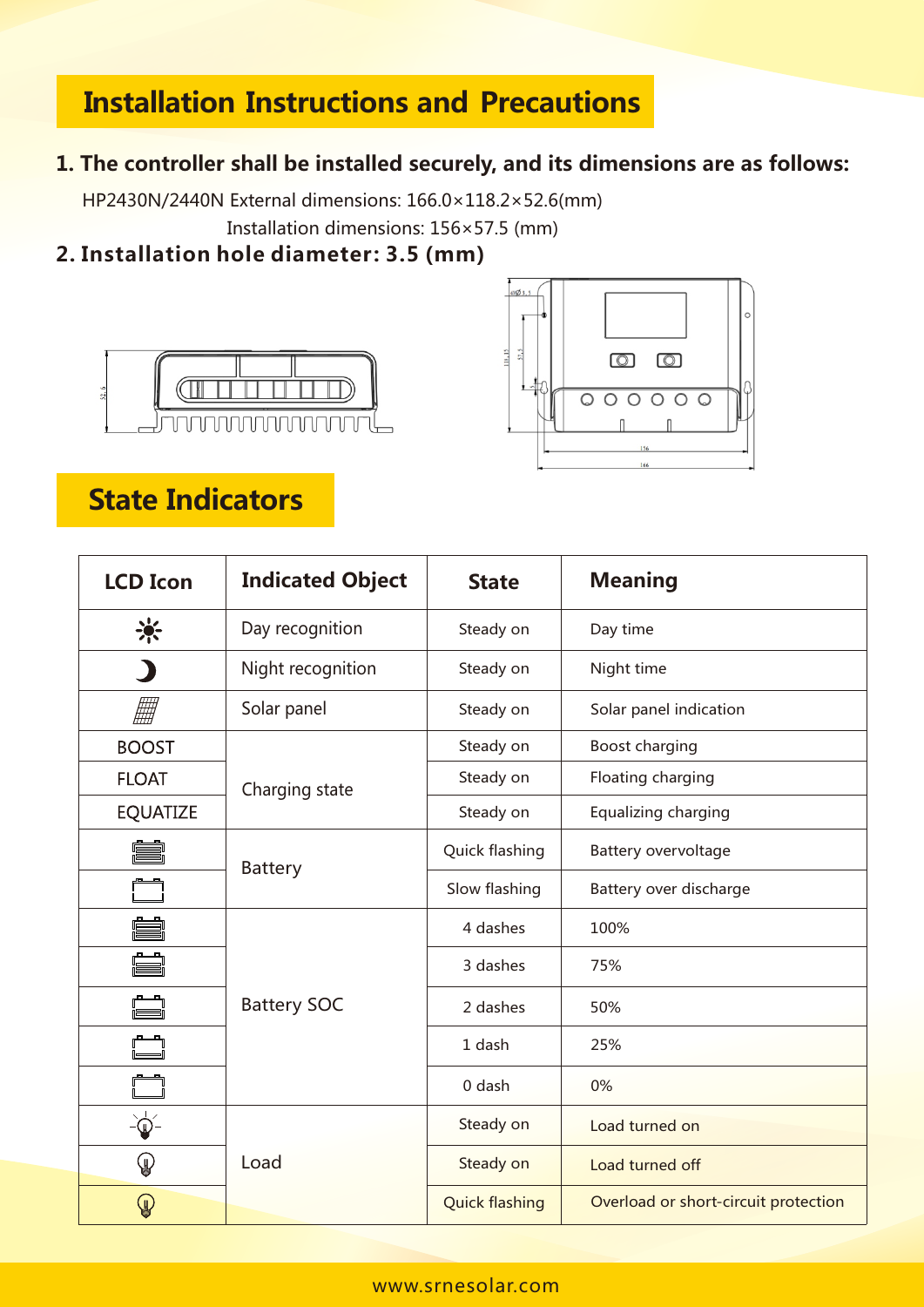## **Installation Instructions and Precautions**

#### **1. The controller shall be installed securely, and its dimensions are as follows:**

HP2430N/2440N External dimensions: 166.0×118.2×52.6(mm) Installation dimensions: 156×57.5 (mm)

#### **2. Installation hole diameter: 3.5 (mm)**





## **State Indicators**

| <b>LCD Icon</b> | <b>Indicated Object</b> | <b>State</b>            | <b>Meaning</b>                       |  |  |
|-----------------|-------------------------|-------------------------|--------------------------------------|--|--|
| 崇               | Day recognition         | Steady on               | Day time                             |  |  |
|                 | Night recognition       | Steady on<br>Night time |                                      |  |  |
|                 | Solar panel             | Steady on               | Solar panel indication               |  |  |
| <b>BOOST</b>    |                         | Steady on               | Boost charging                       |  |  |
| <b>FLOAT</b>    | Charging state          | Steady on               | Floating charging                    |  |  |
| <b>EQUATIZE</b> |                         | Steady on               | Equalizing charging                  |  |  |
|                 | <b>Battery</b>          | Quick flashing          | Battery overvoltage                  |  |  |
|                 |                         | Slow flashing           | Battery over discharge               |  |  |
|                 |                         | 4 dashes                | 100%                                 |  |  |
|                 |                         | 3 dashes                | 75%                                  |  |  |
|                 | <b>Battery SOC</b>      | 2 dashes                | 50%                                  |  |  |
|                 |                         | 1 dash                  | 25%                                  |  |  |
|                 |                         | 0 dash                  | 0%                                   |  |  |
| $\phi$          |                         | Steady on               | Load turned on                       |  |  |
| $\mathbb Q$     | Load                    | Steady on               | Load turned off                      |  |  |
| $\mathbb Q$     |                         | <b>Quick flashing</b>   | Overload or short-circuit protection |  |  |